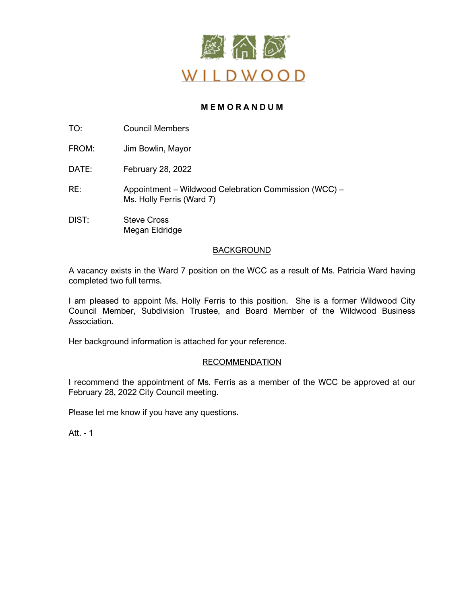

# **M E M O R A N D U M**

TO: Council Members

FROM: Jim Bowlin, Mayor

DATE: February 28, 2022

RE: Appointment – Wildwood Celebration Commission (WCC) – Ms. Holly Ferris (Ward 7)

DIST: Steve Cross Megan Eldridge

# BACKGROUND

A vacancy exists in the Ward 7 position on the WCC as a result of Ms. Patricia Ward having completed two full terms.

I am pleased to appoint Ms. Holly Ferris to this position. She is a former Wildwood City Council Member, Subdivision Trustee, and Board Member of the Wildwood Business Association.

Her background information is attached for your reference.

# RECOMMENDATION

I recommend the appointment of Ms. Ferris as a member of the WCC be approved at our February 28, 2022 City Council meeting.

Please let me know if you have any questions.

Att. - 1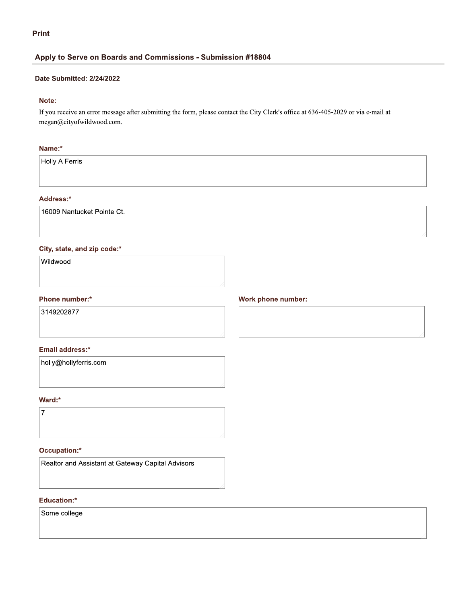# **Print**

# Apply to Serve on Boards and Commissions - Submission #18804

#### Date Submitted: 2/24/2022

# Note:

If you receive an error message after submitting the form, please contact the City Clerk's office at 636-405-2029 or via e-mail at megan@cityofwildwood.com.

### Name:\*

Holly A Ferris

# Address:\*

16009 Nantucket Pointe Ct.

### City, state, and zip code:\*

Wildwood

#### Phone number:\*

3149202877

#### Email address:\*

holly@hollyferris.com

### Ward:\*



#### Occupation:\*

Realtor and Assistant at Gateway Capital Advisors

#### Education:\*

Some college

# Work phone number: